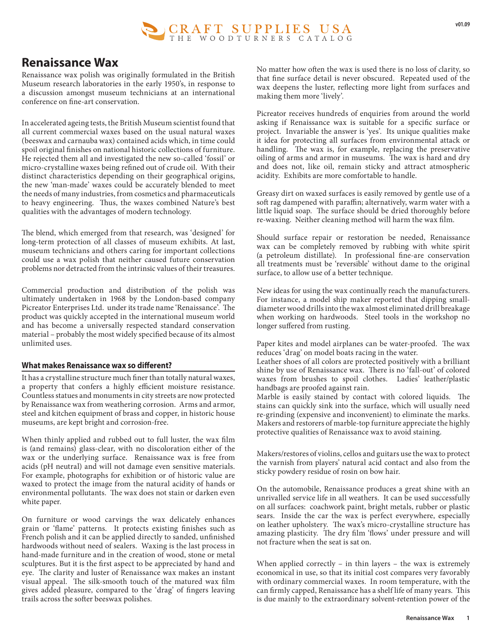

## **Renaissance Wax**

Renaissance wax polish was originally formulated in the British Museum research laboratories in the early 1950's, in response to a discussion amongst museum technicians at an international conference on fine-art conservation.

In accelerated ageing tests, the British Museum scientist found that all current commercial waxes based on the usual natural waxes (beeswax and carnauba wax) contained acids which, in time could spoil original finishes on national historic collections of furniture. He rejected them all and investigated the new so-called 'fossil' or micro-crystalline waxes being refined out of crude oil. With their distinct characteristics depending on their geographical origins, the new 'man-made' waxes could be accurately blended to meet the needs of many industries, from cosmetics and pharmaceuticals to heavy engineering. Thus, the waxes combined Nature's best qualities with the advantages of modern technology.

The blend, which emerged from that research, was 'designed' for long-term protection of all classes of museum exhibits. At last, museum technicians and others caring for important collections could use a wax polish that neither caused future conservation problems nor detracted from the intrinsic values of their treasures.

Commercial production and distribution of the polish was ultimately undertaken in 1968 by the London-based company Picreator Enterprises Ltd. under its trade name 'Renaissance'. The product was quickly accepted in the international museum world and has become a universally respected standard conservation material – probably the most widely specified because of its almost unlimited uses.

## **What makes Renaissance wax so different?**

It has a crystalline structure much finer than totally natural waxes, a property that confers a highly efficient moisture resistance. Countless statues and monuments in city streets are now protected by Renaissance wax from weathering corrosion. Arms and armor, steel and kitchen equipment of brass and copper, in historic house museums, are kept bright and corrosion-free.

When thinly applied and rubbed out to full luster, the wax film is (and remains) glass-clear, with no discoloration either of the wax or the underlying surface. Renaissance wax is free from acids (pH neutral) and will not damage even sensitive materials. For example, photographs for exhibition or of historic value are waxed to protect the image from the natural acidity of hands or environmental pollutants. The wax does not stain or darken even white paper.

On furniture or wood carvings the wax delicately enhances grain or 'flame' patterns. It protects existing finishes such as French polish and it can be applied directly to sanded, unfinished hardwoods without need of sealers. Waxing is the last process in hand-made furniture and in the creation of wood, stone or metal sculptures. But it is the first aspect to be appreciated by hand and eye. The clarity and luster of Renaissance wax makes an instant visual appeal. The silk-smooth touch of the matured wax film gives added pleasure, compared to the 'drag' of fingers leaving trails across the softer beeswax polishes.

No matter how often the wax is used there is no loss of clarity, so that fine surface detail is never obscured. Repeated used of the wax deepens the luster, reflecting more light from surfaces and making them more 'lively'.

Picreator receives hundreds of enquiries from around the world asking if Renaissance wax is suitable for a specific surface or project. Invariable the answer is 'yes'. Its unique qualities make it idea for protecting all surfaces from environmental attack or handling. The wax is, for example, replacing the preservative oiling of arms and armor in museums. The wax is hard and dry and does not, like oil, remain sticky and attract atmospheric acidity. Exhibits are more comfortable to handle.

Greasy dirt on waxed surfaces is easily removed by gentle use of a soft rag dampened with paraffin; alternatively, warm water with a little liquid soap. The surface should be dried thoroughly before re-waxing. Neither cleaning method will harm the wax film.

Should surface repair or restoration be needed, Renaissance wax can be completely removed by rubbing with white spirit (a petroleum distillate). In professional fine-are conservation all treatments must be 'reversible' without dame to the original surface, to allow use of a better technique.

New ideas for using the wax continually reach the manufacturers. For instance, a model ship maker reported that dipping smalldiameter wood drills into the wax almost eliminated drill breakage when working on hardwoods. Steel tools in the workshop no longer suffered from rusting.

Paper kites and model airplanes can be water-proofed. The wax reduces 'drag' on model boats racing in the water.

Leather shoes of all colors are protected positively with a brilliant shine by use of Renaissance wax. There is no 'fall-out' of colored waxes from brushes to spoil clothes. Ladies' leather/plastic handbags are proofed against rain.

Marble is easily stained by contact with colored liquids. The stains can quickly sink into the surface, which will usually need re-grinding (expensive and inconvenient) to eliminate the marks. Makers and restorers of marble-top furniture appreciate the highly protective qualities of Renaissance wax to avoid staining.

Makers/restores of violins, cellos and guitars use the wax to protect the varnish from players' natural acid contact and also from the sticky powdery residue of rosin on bow hair.

On the automobile, Renaissance produces a great shine with an unrivalled service life in all weathers. It can be used successfully on all surfaces: coachwork paint, bright metals, rubber or plastic sears. Inside the car the wax is perfect everywhere, especially on leather upholstery. The wax's micro-crystalline structure has amazing plasticity. The dry film 'flows' under pressure and will not fracture when the seat is sat on.

When applied correctly – in thin layers – the wax is extremely economical in use, so that its initial cost compares very favorably with ordinary commercial waxes. In room temperature, with the can firmly capped, Renaissance has a shelf life of many years. This is due mainly to the extraordinary solvent-retention power of the